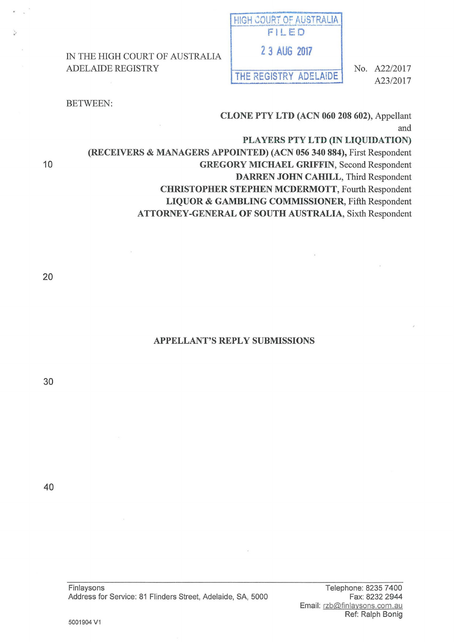IN THE HIGH COURT OF AUSTRALIA ADELAIDE REGISTRY

THE REGISTRY ADELAIDE

No. A22/2017 A23/2017

### BETWEEN:

CLONE PTY LTD (ACN 060 208 602), Appellant and

PLAYERS PTY LTD (IN LIQUIDATION)

(RECEIVERS & MANAGERS APPOINTED) (ACN 056 340 884), First Respondent GREGORY MICHAEL GRIFFIN, Second Respondent DARREN JOHN CAHILL, Third Respondent CHRISTOPHER STEPHEN MCDERMOTT, Fourth Respondent LIQUOR & GAMBLING COMMISSIONER, Fifth Respondent

ATTORNEY-GENERAL OF SOUTH AUSTRALIA, Sixth Respondent

10

# APPELLANT'S REPLY SUBMISSIONS

30

40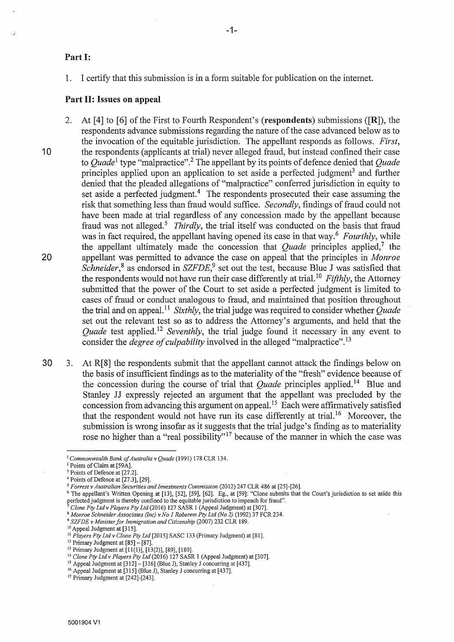# Part I:

1. I certify that this submission is in a form suitable for publication on the intemet.

#### Part II: Issues on **appeal**

2. At [4] to [6] of the First to Fourth Respondent's (respondents) submissions ([R]), the respondents advance submissions regarding the nature of the case advanced below as to the invocation of the equitable jurisdiction. The appellant responds as follows. *First,*  **10** the respondents (applicants at trial) never alleged fraud, but instead confined their case to *Quade*<sup>1</sup> type "malpractice".<sup>2</sup> The appellant by its points of defence denied that *Quade* principles applied upon an application to set aside a perfected judgment<sup>3</sup> and further denied that the pleaded allegations of "malpractice" conferred jurisdiction in equity to set aside a perfected judgment.<sup>4</sup> The respondents prosecuted their case assuming the risk that something less than fraud would suffice. *Secondly,* findings of fraud could not have been made at trial regardless of any concession made by the appellant because fraud was not alleged.<sup>5</sup> *Thirdly*, the trial itself was conducted on the basis that fraud was in fact required, the appellant having opened its case in that way.<sup>6</sup> Fourthly, while the appellant ultimately made the concession that *Quade* principles applied,<sup>7</sup> the 20 appellant was permitted to advance the case on appeal that the principles in *Monroe Schneider, <sup>8</sup>*as endorsed in *SZFDE,9* set out the test, because Blue J was satisfied that the respondents would not have run their case differently at trial. <sup>10</sup>*Fifthly,* the Attorney submitted that the power of the Court to set aside a perfected judgment is limited to cases of fraud or conduct analogous to fraud, and maintained that position throughout the trial and on appeal. <sup>11</sup>*Sixthly,* the trial judge was required to consider whether *Quade*  set out the relevant test so as to address the Attorney's arguments, and held that the *Quade* test applied.<sup>12</sup> *Seventhly*, the trial judge found it necessary in any event to consider the *degree of culpability* involved in the alleged "malpractice". <sup>13</sup>

30 3. At R[8] the respondents submit that the appellant cannot attack the findings below on the basis of insufficient fmdings as to the materiality of the "fresh" evidence because of the concession during the course of trial that *Quade* principles applied. 14 Blue and Stanley JJ expressly rejected an argument that the appellant was precluded by the concession from advancing this argument on appeal. 15 Each were affirmatively satisfied that the respondent would not have run its case differently at trial. 16 Moreover, the submission is wrong insofar as it suggests that the trial judge's finding as to materiality rose no higher than a "real possibility"<sup>17</sup> because of the manner in which the case was

<sup>&</sup>lt;sup>1</sup> *Commonwealth Bank of Australia v Quade* (1991) 178 CLR 134.<br><sup>2</sup> Points of Claim at [59A].<br><sup>3</sup> Points of Defence at [27.2].

*<sup>4</sup>* Points of Defence at [27.3], [29].

<sup>&</sup>lt;sup>6</sup> The appellant's Written Opening at [13], [52], [59], [62]. Eg., at [59]: "Clone submits that the Court's jurisdiction to set aside this perfected judgment is thereby confined to the equitable jurisdiction to impeach f

<sup>&</sup>lt;sup>7</sup> Clone Pty Ltd v Players Pty Ltd (2016) 127 SASR 1 (Appeal Judgment) at [307].<br><sup>8</sup> Monroe Schneider Associates (Inc) v No 1 Raberem Pty Ltd (No 2) (1992) 37 FCR 234.<br><sup>9</sup> SZFDE v Minister for Immigration and Citizenship

<sup>12</sup> Primary Judgment at  $[85] - [87]$ .<br>
13 Primary Judgment at  $[85] - [87]$ .<br>
13 Primary Judgment at  $[11(1)], [13(2)], [89], [180]$ .<br>
14 *Clone Pty Ltd v Players Pty Ltd* (2016) 127 SASR 1 (Appeal Judgment) at [307].<br>
<sup>15</sup> Appeal Ju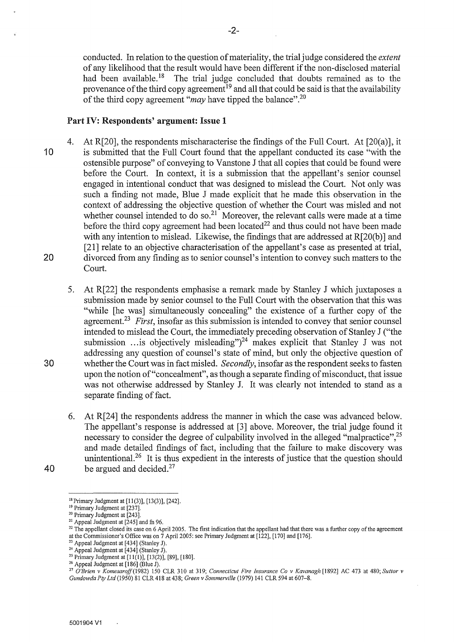conducted. In relation to the question of materiality, the trial judge considered the *extent*  of any likelihood that the result would have been different if the non-disclosed material had been available.<sup>18</sup> The trial judge concluded that doubts remained as to the The trial judge concluded that doubts remained as to the provenance of the third copy agreement<sup>19</sup> and all that could be said is that the availability of the third copy agreement "*may* have tipped the balance".<sup>20</sup>

# Part IV: Respondents' argument: Issue 1

- 4. At R[20], the respondents mischaracterise the findings of the Full Court. At [20(a)], it 10 is submitted that the Full Court found that the appellant conducted its case "with the ostensible purpose" of conveying to Vanstone J that all copies that could be found were before the Court. In context, it is a submission that the appellant's senior counsel engaged in intentional conduct that was designed to mislead the Court. Not only was such a finding not made, Blue J made explicit that he made this observation in the context of addressing the objective question of whether the Court was misled and not whether counsel intended to do so.<sup>21</sup> Moreover, the relevant calls were made at a time before the third copy agreement had been located<sup>22</sup> and thus could not have been made with any intention to mislead. Likewise, the findings that are addressed at R[20(b)] and [21] relate to an objective characterisation of the appellant's case as presented at trial, 20 divorced from any finding as to senior counsel's intention to convey such matters to the Court.
- 5. At R[22] the respondents emphasise a remark made by Stanley J which juxtaposes a submission made by senior counsel to the Full Court with the observation that this was "while [he was] simultaneously concealing" the existence of a further copy of the agreement.<sup>23</sup> First, insofar as this submission is intended to convey that senior counsel intended to mislead the Court, the immediately preceding observation of Stanley J ("the submission ... is objectively misleading" $)^{24}$  makes explicit that Stanley J was not addressing any question of counsel's state of mind, but only the objective question of 30 whether the Court was in fact misled. *Secondly,* insofar as the respondent seeks to fasten upon the notion of"concealment", as though a separate fmding of misconduct, that issue was not otherwise addressed by Stanley J. It was clearly not intended to stand as a separate finding of fact.
- 6. At R[24] the respondents address the manner in which the case was advanced below. The appellant's response is addressed at [3] above. Moreover, the trial judge found it necessary to consider the degree of culpability involved in the alleged "malpractice",<sup>25</sup> and made detailed fmdings of fact, including that the failure to make discovery was unintentional.<sup>26</sup> It is thus expedient in the interests of justice that the question should 40 be argued and decided. $27$

 $\ddot{\phantom{a}}$ 

<sup>&</sup>lt;sup>18</sup> Primary Judgment at [11(3)], [13(3)], [242].<br><sup>19</sup> Primary Judgment at [237].<br><sup>20</sup> Primary Judgment at [243].<br><sup>21</sup> Appeal Judgment at [245] and fi 96.<br><sup>21</sup> The appellant closed its case on 6 April 2005. The first indi

<sup>&</sup>lt;sup>23</sup> Appeal Judgment at [434] (Stanley J).<br>
<sup>24</sup> Appeal Judgment at [434] (Stanley J).<br>
<sup>25</sup> Primary Judgment at [11(1)], [13(2)], [89], [180].<br>
<sup>26</sup> Appeal Judgment at [186] (Blue J).<br>
<sup>27</sup> O'Brien v Komesaroff (1982) 15 *Gundowda Pty Ltd* (1950) 81 CLR 418 at 438; *Green v Sommerville* (1979) 141 CLR 594 at 607-8.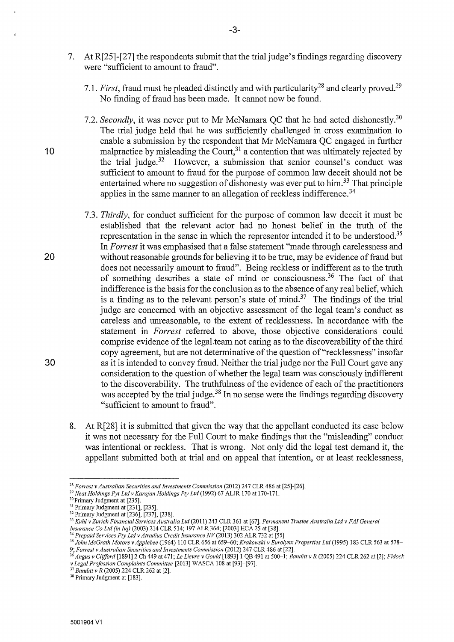- 7. At R[25]-[27] the respondents submit that the trial judge's findings regarding discovery were "sufficient to amount to fraud".
	- 7.1. *First*, fraud must be pleaded distinctly and with particularity<sup>28</sup> and clearly proved.<sup>29</sup> No finding of fraud has been made. It cannot now be found.
- 7.2. *Secondly*, it was never put to Mr McNamara QC that he had acted dishonestly.<sup>30</sup> The trial judge held that he was sufficiently challenged in cross examination to enable a submission by the respondent that Mr McNamara QC engaged in further 10 malpractice by misleading the Court,  $31$  a contention that was ultimately rejected by the trial judge. $32$  However, a submission that senior counsel's conduct was sufficient to amount to fraud for the purpose of common law deceit should not be entertained where no suggestion of dishonesty was ever put to  $\lim_{n \to \infty} 33$  That principle applies in the same manner to an allegation of reckless indifference. 34
- 7.3. *Thirdly,* for conduct sufficient for the purpose of common law deceit it must be established that the relevant actor had no honest belief in the truth of the representation in the sense in which the representor intended it to be understood.35 In *Forrest* it was emphasised that a false statement "made through carelessness and 20 without reasonable grounds for believing it to be true, may be evidence of fraud but does not necessarily amount to fraud". Being reckless or indifferent as to the truth of something describes a state of mind or consciousness.36 The fact of that indifference is the basis for the conclusion as to the absence of any real belief, which is a finding as to the relevant person's state of mind.<sup>37</sup> The findings of the trial judge are concerned with an objective assessment of the legal team's conduct as careless and unreasonable, to the extent of recklessness. In accordance with the statement in *Forrest* referred to above, those objective considerations could comprise evidence of the legal.team not caring as to the discoverability of the third copy agreement, but are not determinative of the question of"recklessness" insofar 30 as it is intended to convey fraud. Neither the trial judge nor the Full Court gave any consideration to the question of whether the legal team was consciously indifferent to the discoverability. The truthfulness of the evidence of each of the practitioners was accepted by the trial judge.<sup>38</sup> In no sense were the findings regarding discovery "sufficient to amount to fraud".
	- 8. At R[28] it is submitted that given the way that the appellant conducted its case below it was not necessary for the Full Court to make findings that the "misleading" conduct was intentional or reckless. That is wrong. Not only did the legal test demand it, the appellant submitted both at trial and on appeal that intention, or at least recklessness,

<sup>&</sup>lt;sup>28</sup> Forrest v Australian Securities and Investments Commission (2012) 247 CLR 486 at [25]-[26].<br><sup>29</sup> Neat Holdings Pyt Ltd v Karajan Holdings Pty Ltd (1992) 67 ALJR 170 at 170-171.<br><sup>30</sup> Primary Judgment at [235].<br><sup>31</sup> Pr

<sup>&</sup>lt;sup>34</sup> Prepaid Services Pty Ltd v Atradius Credit Insurance NV (2013) 302 ALR 732 at [55]<br><sup>35</sup> John McGrath Motors v Applebee (1964) 110 CLR 656 at 659–60; *Krakowski v Eurolynx Properties Ltd* (1995) 183 CLR 563 at 578–<br>9;

<sup>&</sup>lt;sup>36</sup> Angus v Clifford [1891] 2 Ch 449 at 471; Le Lievre v Gould [1893] 1 QB 491 at 500-1; Banditt v R (2005) 224 CLR 262 at [2]; Fidock <sup>v</sup>*Legal Profession Complaints Committee* [2013] WASCA 108 at [93]-[97]. 37 *Bandit!* v *R* (2005) 224 CLR 262 at [2]. 38 Primary Judgment at [183].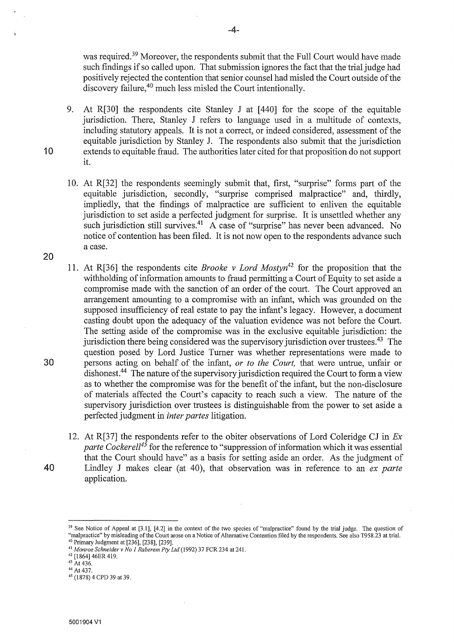was required.<sup>39</sup> Moreover, the respondents submit that the Full Court would have made such findings if so called upon. That submission ignores the fact that the trial judge had positively rejected the contention that senior counsel had misled the Court outside of the discovery failure,<sup>40</sup> much less misled the Court intentionally.

- 9. At R[30] the respondents cite Stanley J at [440] for the scope of the equitable jurisdiction. There, Stanley J refers to language used in a multitude of contexts, including statutory appeals. It is not a correct, or indeed considered, assessment of the equitable jurisdiction by Stanley J. The respondents also submit that the jurisdiction 10 extends to equitable fraud. The authorities later cited for that proposition do not support it.
	- 10. At R[32] the respondents seemingly submit that, first, "surprise" forms part of the equitable jurisdiction, secondly, "surprise comprised malpractice" and, thirdly, impliedly, that the findings of malpractice are sufficient to enliven the equitable jurisdiction to set aside a perfected judgment for surprise. It is unsettled whether any such jurisdiction still survives.<sup>41</sup> A case of "surprise" has never been advanced. No notice of contention has been filed. It is not now open to the respondents advance such a case.
- 11. At R[36] the respondents cite *Brooke v Lord Mostyn*<sup>42</sup> for the proposition that the withholding of information amounts to fraud permitting a Court of Equity to set aside a compromise made with the sanction of an order of the court. The Court approved an arrangement amounting to a compromise with an infant, which was grounded on the supposed insufficiency of real estate to pay the infant's legacy. However, a document casting doubt upon the adequacy of the valuation evidence was not before the Court. The setting aside of the compromise was in the exclusive equitable jurisdiction: the jurisdiction there being considered was the supervisory jurisdiction over trustees.<sup>43</sup> The question posed by Lord Justice Turner was whether representations were made to 30 persons acting on behalf of the infant, *or to the Court,* that were untrue, unfair or dishonest.<sup>44</sup> The nature of the supervisory jurisdiction required the Court to form a view as to whether the compromise was for the benefit of the infant, but the non-disclosure of materials affected the Court's capacity to reach such a view. The nature of the supervisory jurisdiction over trustees is distinguishable from the power to set aside a perfected judgment in *inter partes* litigation.
- 12. At R[37] the respondents refer to the obiter observations of Lord Coleridge CJ in *Ex parte Cockerell<sup>45</sup>* for the reference to "suppression of information which it was essential that the Court should have" as a basis for setting aside an order. As the judgment of 40 Lindley J makes clear (at 40), that observation was in reference to an *ex parte*  application.

20

<sup>&</sup>lt;sup>39</sup> See Notice of Appeal at [3.1], [4.2] in the context of the two species of "malpractice" found by the trial judge. The question of "malpractice" by misleading of the Court arose on a Notice of Alternative Contention filed by the respondents. See also T958.23 at trial.<br>
<sup>40</sup> Primary Judgment at [236], [238], [239].<br>
<sup>41</sup> Monroe Schneider v No 1 Rabere